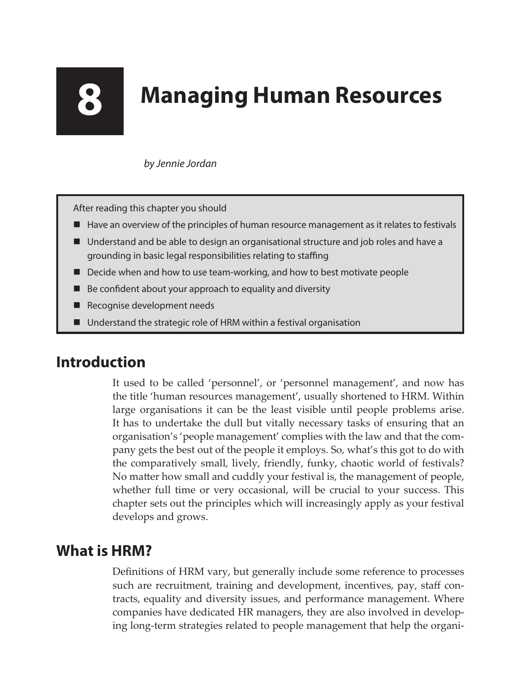# **8 Managing Human Resources**

#### *by Jennie Jordan*

After reading this chapter you should

- $\blacksquare$  Have an overview of the principles of human resource management as it relates to festivals
- Understand and be able to design an organisational structure and job roles and have a grounding in basic legal responsibilities relating to staffing
- Decide when and how to use team-working, and how to best motivate people
- Be confident about your approach to equality and diversity
- Recognise development needs
- Understand the strategic role of HRM within a festival organisation

# **Introduction**

It used to be called 'personnel', or 'personnel management', and now has the title 'human resources management', usually shortened to HRM. Within large organisations it can be the least visible until people problems arise. It has to undertake the dull but vitally necessary tasks of ensuring that an organisation's 'people management' complies with the law and that the company gets the best out of the people it employs. So, what's this got to do with the comparatively small, lively, friendly, funky, chaotic world of festivals? No matter how small and cuddly your festival is, the management of people, whether full time or very occasional, will be crucial to your success. This chapter sets out the principles which will increasingly apply as your festival develops and grows.

### **What is HRM?**

Definitions of HRM vary, but generally include some reference to processes such are recruitment, training and development, incentives, pay, staff contracts, equality and diversity issues, and performance management. Where companies have dedicated HR managers, they are also involved in developing long-term strategies related to people management that help the organi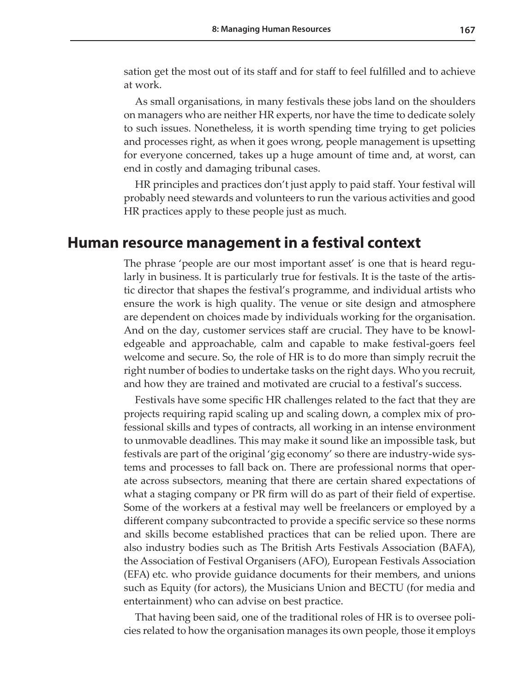sation get the most out of its staff and for staff to feel fulfilled and to achieve at work.

As small organisations, in many festivals these jobs land on the shoulders on managers who are neither HR experts, nor have the time to dedicate solely to such issues. Nonetheless, it is worth spending time trying to get policies and processes right, as when it goes wrong, people management is upsetting for everyone concerned, takes up a huge amount of time and, at worst, can end in costly and damaging tribunal cases.

HR principles and practices don't just apply to paid staff. Your festival will probably need stewards and volunteers to run the various activities and good HR practices apply to these people just as much.

#### **Human resource management in a festival context**

The phrase 'people are our most important asset' is one that is heard regularly in business. It is particularly true for festivals. It is the taste of the artistic director that shapes the festival's programme, and individual artists who ensure the work is high quality. The venue or site design and atmosphere are dependent on choices made by individuals working for the organisation. And on the day, customer services staff are crucial. They have to be knowledgeable and approachable, calm and capable to make festival-goers feel welcome and secure. So, the role of HR is to do more than simply recruit the right number of bodies to undertake tasks on the right days. Who you recruit, and how they are trained and motivated are crucial to a festival's success.

Festivals have some specific HR challenges related to the fact that they are projects requiring rapid scaling up and scaling down, a complex mix of professional skills and types of contracts, all working in an intense environment to unmovable deadlines. This may make it sound like an impossible task, but festivals are part of the original 'gig economy' so there are industry-wide systems and processes to fall back on. There are professional norms that operate across subsectors, meaning that there are certain shared expectations of what a staging company or PR firm will do as part of their field of expertise. Some of the workers at a festival may well be freelancers or employed by a different company subcontracted to provide a specific service so these norms and skills become established practices that can be relied upon. There are also industry bodies such as The British Arts Festivals Association (BAFA), the Association of Festival Organisers (AFO), European Festivals Association (EFA) etc. who provide guidance documents for their members, and unions such as Equity (for actors), the Musicians Union and BECTU (for media and entertainment) who can advise on best practice.

That having been said, one of the traditional roles of HR is to oversee policies related to how the organisation manages its own people, those it employs